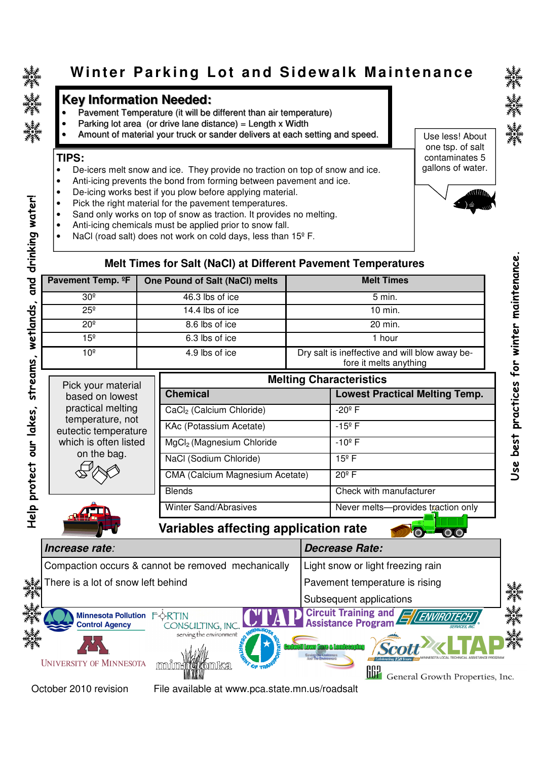**Help protect our lakes, streams, wetlands, and drinking water!**

delp protect our lakes, streams, wetlands, and drinking water!

# Winter Parking Lot and Sidewalk Maintenance

## **Key Information Needed:**

- Pavement Temperature (it will be different than air temperature)
- Parking lot area (or drive lane distance) = Length x Width •
- Amount of material your truck or sander delivers at each setting and speed. •

#### **TIPS:**

- De-icers melt snow and ice. They provide no traction on top of snow and ice.
- Anti-icing prevents the bond from forming between pavement and ice.
- De-icing works best if you plow before applying material.
- Pick the right material for the pavement temperatures.
- Sand only works on top of snow as traction. It provides no melting.
- Anti-icing chemicals must be applied prior to snow fall.
- NaCl (road salt) does not work on cold days, less than 15<sup>°</sup> F.

#### Use less! About one tsp. of salt contaminates 5 gallons of water.



## **Melt Times for Salt (NaCl) at Different Pavement Temperatures**

| Pavement Temp. <sup>o</sup> F | One Pound of Salt (NaCl) melts | <b>Melt Times</b>                                                        |
|-------------------------------|--------------------------------|--------------------------------------------------------------------------|
| 30 <sup>°</sup>               | 46.3 lbs of ice                | 5 min.                                                                   |
| $25^{\circ}$                  | 14.4 lbs of ice                | 10 min.                                                                  |
| 20 <sup>°</sup>               | 8.6 lbs of ice                 | 20 min.                                                                  |
| 15 <sup>°</sup>               | 6.3 lbs of ice                 | 1 hour                                                                   |
| 10 <sup>°</sup>               | 4.9 lbs of ice                 | Dry salt is ineffective and will blow away be-<br>fore it melts anything |

| Pick your material                       | <b>Melting Characteristics</b>        |                                       |  |  |
|------------------------------------------|---------------------------------------|---------------------------------------|--|--|
| based on lowest                          | <b>Chemical</b>                       | <b>Lowest Practical Melting Temp.</b> |  |  |
| practical melting                        | CaCl <sub>2</sub> (Calcium Chloride)  | $-20^{\circ}$ F                       |  |  |
| temperature, not<br>eutectic temperature | KAc (Potassium Acetate)               | $-15^{\circ}$ F                       |  |  |
| which is often listed                    | MgCl <sub>2</sub> (Magnesium Chloride | $-10^{\circ}$ F                       |  |  |
| on the bag.                              | NaCl (Sodium Chloride)                | $15^{\circ}$ F                        |  |  |
|                                          | CMA (Calcium Magnesium Acetate)       | $20^{\circ}$ F                        |  |  |
|                                          | <b>Blends</b>                         | Check with manufacturer               |  |  |
|                                          | Winter Sand/Abrasives                 | Never melts-provides traction only    |  |  |

 **Variables affecting application rate** 

| Increase rate:                                                                    | <b>Decrease Rate:</b>                                                         |                                  |
|-----------------------------------------------------------------------------------|-------------------------------------------------------------------------------|----------------------------------|
| Compaction occurs & cannot be removed mechanically                                | Light snow or light freezing rain                                             |                                  |
| ﷺ<br>絲* There is a lot of snow left behind                                        | Pavement temperature is rising                                                |                                  |
|                                                                                   | Subsequent applications                                                       | <b>大学者<br/>大学者<br/>大学者</b>       |
| <b>Minnesota Pollution</b><br>FORTIN<br><b>Control Agency</b><br>CONSULTING, INC. | Circuit Training and <b>EVENVIROTECHY</b><br>Assistance Program EVENVIROTECHY | <b>ブラックス</b><br>アクトランス<br>アクトラント |
| serving the environment<br><b>UNIVERSITY OF MINNESOTA</b>                         |                                                                               |                                  |
|                                                                                   | General Growth Properties, Inc.                                               |                                  |

October 2010 revision

File available at www.pca.state.mn.us/roadsalt